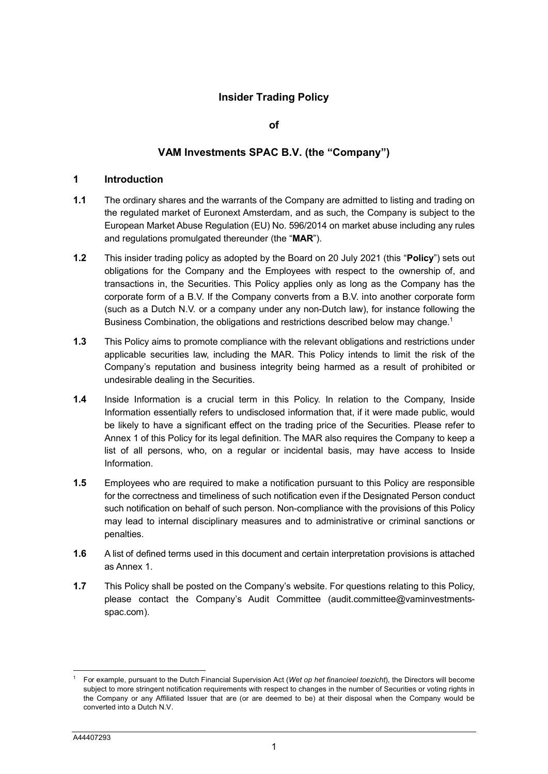## **Insider Trading Policy**

#### **of**

#### **VAM Investments SPAC B.V. (the "Company")**

#### **1 Introduction**

- **1.1** The ordinary shares and the warrants of the Company are admitted to listing and trading on the regulated market of Euronext Amsterdam, and as such, the Company is subject to the European Market Abuse Regulation (EU) No. 596/2014 on market abuse including any rules and regulations promulgated thereunder (the "**MAR**").
- **1.2** This insider trading policy as adopted by the Board on 20 July 2021 (this "**Policy**") sets out obligations for the Company and the Employees with respect to the ownership of, and transactions in, the Securities. This Policy applies only as long as the Company has the corporate form of a B.V. If the Company converts from a B.V. into another corporate form (such as a Dutch N.V. or a company under any non-Dutch law), for instance following the Business Combination, the obligations and restrictions described below may change.<sup>[1](#page-0-0)</sup>
- **1.3** This Policy aims to promote compliance with the relevant obligations and restrictions under applicable securities law, including the MAR. This Policy intends to limit the risk of the Company's reputation and business integrity being harmed as a result of prohibited or undesirable dealing in the Securities.
- **1.4** Inside Information is a crucial term in this Policy. In relation to the Company, Inside Information essentially refers to undisclosed information that, if it were made public, would be likely to have a significant effect on the trading price of the Securities. Please refer to Annex 1 of this Policy for its legal definition. The MAR also requires the Company to keep a list of all persons, who, on a regular or incidental basis, may have access to Inside Information.
- **1.5** Employees who are required to make a notification pursuant to this Policy are responsible for the correctness and timeliness of such notification even if the Designated Person conduct such notification on behalf of such person. Non-compliance with the provisions of this Policy may lead to internal disciplinary measures and to administrative or criminal sanctions or penalties.
- **1.6** A list of defined terms used in this document and certain interpretation provisions is attached as Annex 1.
- **1.7** This Policy shall be posted on the Company's website. For questions relating to this Policy, please contact the Company's Audit Committee (audit.committee@vaminvestmentsspac.com).

l

<span id="page-0-0"></span><sup>1</sup> For example, pursuant to the Dutch Financial Supervision Act (*Wet op het financieel toezicht*), the Directors will become subject to more stringent notification requirements with respect to changes in the number of Securities or voting rights in the Company or any Affiliated Issuer that are (or are deemed to be) at their disposal when the Company would be converted into a Dutch N.V.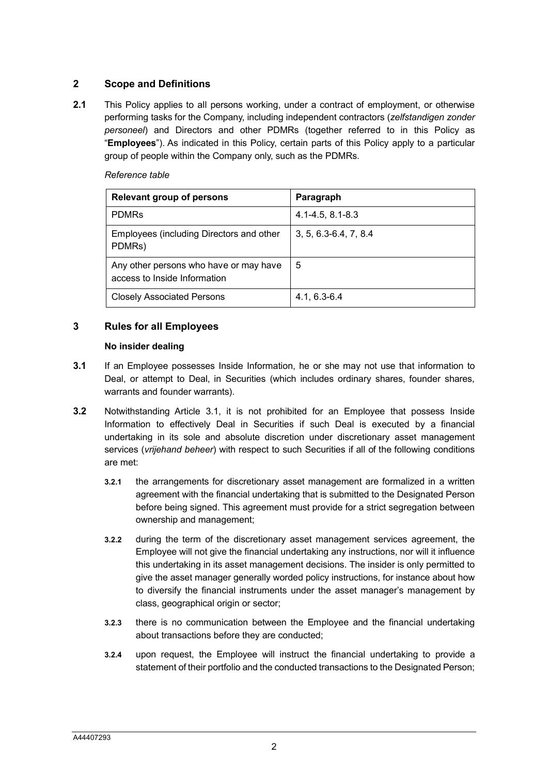# **2 Scope and Definitions**

**2.1** This Policy applies to all persons working, under a contract of employment, or otherwise performing tasks for the Company, including independent contractors (*zelfstandigen zonder personeel*) and Directors and other PDMRs (together referred to in this Policy as "**Employees**"). As indicated in this Policy, certain parts of this Policy apply to a particular group of people within the Company only, such as the PDMRs.

*Reference table*

| <b>Relevant group of persons</b>                                       | Paragraph                 |
|------------------------------------------------------------------------|---------------------------|
| <b>PDMRs</b>                                                           | 4.1-4.5, 8.1-8.3          |
| Employees (including Directors and other<br>PDMRs)                     | $3, 5, 6.3 - 6.4, 7, 8.4$ |
| Any other persons who have or may have<br>access to Inside Information | -5                        |
| <b>Closely Associated Persons</b>                                      | $4.1, 6.3 - 6.4$          |

# **3 Rules for all Employees**

#### **No insider dealing**

- **3.1** If an Employee possesses Inside Information, he or she may not use that information to Deal, or attempt to Deal, in Securities (which includes ordinary shares, founder shares, warrants and founder warrants).
- **3.2** Notwithstanding Article 3.1, it is not prohibited for an Employee that possess Inside Information to effectively Deal in Securities if such Deal is executed by a financial undertaking in its sole and absolute discretion under discretionary asset management services (*vrijehand beheer*) with respect to such Securities if all of the following conditions are met:
	- **3.2.1** the arrangements for discretionary asset management are formalized in a written agreement with the financial undertaking that is submitted to the Designated Person before being signed. This agreement must provide for a strict segregation between ownership and management;
	- **3.2.2** during the term of the discretionary asset management services agreement, the Employee will not give the financial undertaking any instructions, nor will it influence this undertaking in its asset management decisions. The insider is only permitted to give the asset manager generally worded policy instructions, for instance about how to diversify the financial instruments under the asset manager's management by class, geographical origin or sector;
	- **3.2.3** there is no communication between the Employee and the financial undertaking about transactions before they are conducted;
	- **3.2.4** upon request, the Employee will instruct the financial undertaking to provide a statement of their portfolio and the conducted transactions to the Designated Person;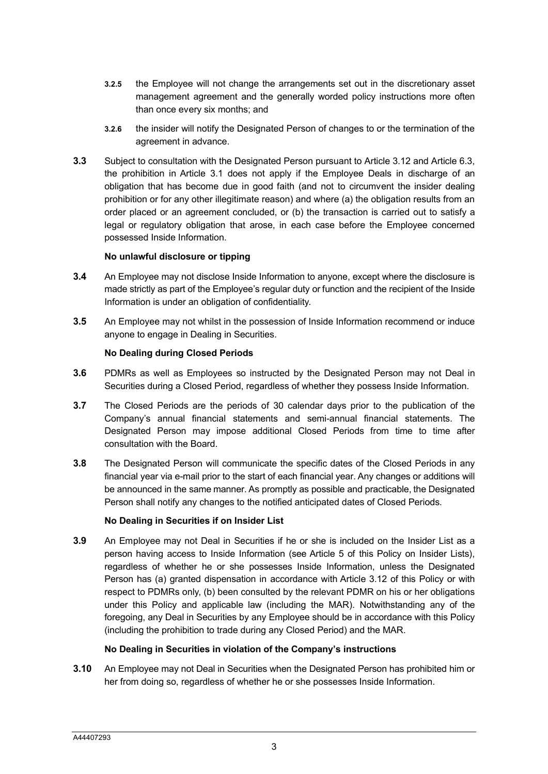- **3.2.5** the Employee will not change the arrangements set out in the discretionary asset management agreement and the generally worded policy instructions more often than once every six months; and
- **3.2.6** the insider will notify the Designated Person of changes to or the termination of the agreement in advance.
- **3.3** Subject to consultation with the Designated Person pursuant to Article 3.12 and Article 6.3, the prohibition in Article 3.1 does not apply if the Employee Deals in discharge of an obligation that has become due in good faith (and not to circumvent the insider dealing prohibition or for any other illegitimate reason) and where (a) the obligation results from an order placed or an agreement concluded, or (b) the transaction is carried out to satisfy a legal or regulatory obligation that arose, in each case before the Employee concerned possessed Inside Information.

#### **No unlawful disclosure or tipping**

- **3.4** An Employee may not disclose Inside Information to anyone, except where the disclosure is made strictly as part of the Employee's regular duty or function and the recipient of the Inside Information is under an obligation of confidentiality.
- **3.5** An Employee may not whilst in the possession of Inside Information recommend or induce anyone to engage in Dealing in Securities.

#### **No Dealing during Closed Periods**

- **3.6** PDMRs as well as Employees so instructed by the Designated Person may not Deal in Securities during a Closed Period, regardless of whether they possess Inside Information.
- **3.7** The Closed Periods are the periods of 30 calendar days prior to the publication of the Company's annual financial statements and semi-annual financial statements. The Designated Person may impose additional Closed Periods from time to time after consultation with the Board.
- **3.8** The Designated Person will communicate the specific dates of the Closed Periods in any financial year via e-mail prior to the start of each financial year. Any changes or additions will be announced in the same manner. As promptly as possible and practicable, the Designated Person shall notify any changes to the notified anticipated dates of Closed Periods.

#### **No Dealing in Securities if on Insider List**

**3.9** An Employee may not Deal in Securities if he or she is included on the Insider List as a person having access to Inside Information (see Article 5 of this Policy on Insider Lists), regardless of whether he or she possesses Inside Information, unless the Designated Person has (a) granted dispensation in accordance with Article 3.12 of this Policy or with respect to PDMRs only, (b) been consulted by the relevant PDMR on his or her obligations under this Policy and applicable law (including the MAR). Notwithstanding any of the foregoing, any Deal in Securities by any Employee should be in accordance with this Policy (including the prohibition to trade during any Closed Period) and the MAR.

#### **No Dealing in Securities in violation of the Company's instructions**

**3.10** An Employee may not Deal in Securities when the Designated Person has prohibited him or her from doing so, regardless of whether he or she possesses Inside Information.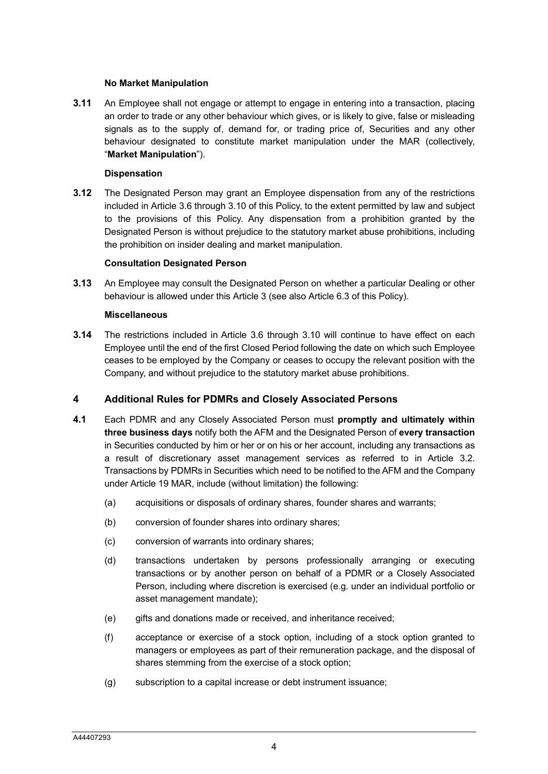#### **No Market Manipulation**

**3.11** An Employee shall not engage or attempt to engage in entering into a transaction, placing an order to trade or any other behaviour which gives, or is likely to give, false or misleading signals as to the supply of, demand for, or trading price of, Securities and any other behaviour designated to constitute market manipulation under the MAR (collectively, "**Market Manipulation**").

#### **Dispensation**

**3.12** The Designated Person may grant an Employee dispensation from any of the restrictions included in Article 3.6 through 3.10 of this Policy, to the extent permitted by law and subject to the provisions of this Policy. Any dispensation from a prohibition granted by the Designated Person is without prejudice to the statutory market abuse prohibitions, including the prohibition on insider dealing and market manipulation.

#### **Consultation Designated Person**

**3.13** An Employee may consult the Designated Person on whether a particular Dealing or other behaviour is allowed under this Article 3 (see also Article 6.3 of this Policy).

#### **Miscellaneous**

**3.14** The restrictions included in Article 3.6 through 3.10 will continue to have effect on each Employee until the end of the first Closed Period following the date on which such Employee ceases to be employed by the Company or ceases to occupy the relevant position with the Company, and without prejudice to the statutory market abuse prohibitions.

#### **4 Additional Rules for PDMRs and Closely Associated Persons**

- **4.1** Each PDMR and any Closely Associated Person must **promptly and ultimately within three business days** notify both the AFM and the Designated Person of **every transaction**  in Securities conducted by him or her or on his or her account, including any transactions as a result of discretionary asset management services as referred to in Article 3.2. Transactions by PDMRs in Securities which need to be notified to the AFM and the Company under Article 19 MAR, include (without limitation) the following:
	- (a) acquisitions or disposals of ordinary shares, founder shares and warrants;
	- (b) conversion of founder shares into ordinary shares;
	- (c) conversion of warrants into ordinary shares;
	- (d) transactions undertaken by persons professionally arranging or executing transactions or by another person on behalf of a PDMR or a Closely Associated Person, including where discretion is exercised (e.g. under an individual portfolio or asset management mandate);
	- (e) gifts and donations made or received, and inheritance received;
	- (f) acceptance or exercise of a stock option, including of a stock option granted to managers or employees as part of their remuneration package, and the disposal of shares stemming from the exercise of a stock option;
	- (g) subscription to a capital increase or debt instrument issuance;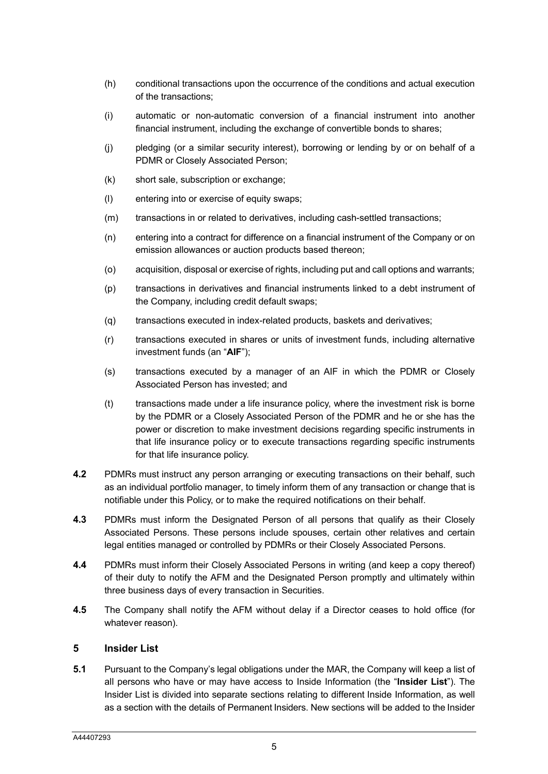- (h) conditional transactions upon the occurrence of the conditions and actual execution of the transactions;
- (i) automatic or non-automatic conversion of a financial instrument into another financial instrument, including the exchange of convertible bonds to shares;
- (j) pledging (or a similar security interest), borrowing or lending by or on behalf of a PDMR or Closely Associated Person;
- (k) short sale, subscription or exchange;
- (l) entering into or exercise of equity swaps;
- (m) transactions in or related to derivatives, including cash-settled transactions;
- (n) entering into a contract for difference on a financial instrument of the Company or on emission allowances or auction products based thereon;
- (o) acquisition, disposal or exercise of rights, including put and call options and warrants;
- (p) transactions in derivatives and financial instruments linked to a debt instrument of the Company, including credit default swaps;
- (q) transactions executed in index-related products, baskets and derivatives;
- (r) transactions executed in shares or units of investment funds, including alternative investment funds (an "**AIF**");
- (s) transactions executed by a manager of an AIF in which the PDMR or Closely Associated Person has invested; and
- (t) transactions made under a life insurance policy, where the investment risk is borne by the PDMR or a Closely Associated Person of the PDMR and he or she has the power or discretion to make investment decisions regarding specific instruments in that life insurance policy or to execute transactions regarding specific instruments for that life insurance policy.
- **4.2** PDMRs must instruct any person arranging or executing transactions on their behalf, such as an individual portfolio manager, to timely inform them of any transaction or change that is notifiable under this Policy, or to make the required notifications on their behalf.
- **4.3** PDMRs must inform the Designated Person of all persons that qualify as their Closely Associated Persons. These persons include spouses, certain other relatives and certain legal entities managed or controlled by PDMRs or their Closely Associated Persons.
- **4.4** PDMRs must inform their Closely Associated Persons in writing (and keep a copy thereof) of their duty to notify the AFM and the Designated Person promptly and ultimately within three business days of every transaction in Securities.
- **4.5** The Company shall notify the AFM without delay if a Director ceases to hold office (for whatever reason).

#### **5 Insider List**

**5.1** Pursuant to the Company's legal obligations under the MAR, the Company will keep a list of all persons who have or may have access to Inside Information (the "**Insider List**"). The Insider List is divided into separate sections relating to different Inside Information, as well as a section with the details of Permanent Insiders. New sections will be added to the Insider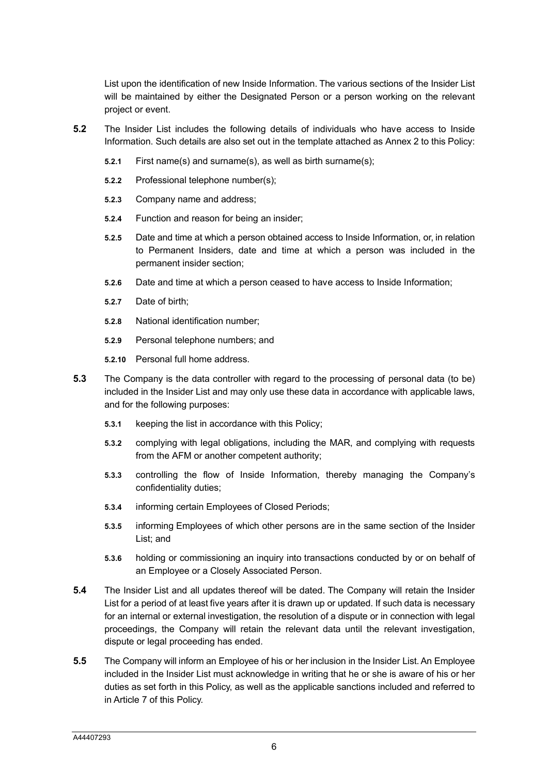List upon the identification of new Inside Information. The various sections of the Insider List will be maintained by either the Designated Person or a person working on the relevant project or event.

- **5.2** The Insider List includes the following details of individuals who have access to Inside Information. Such details are also set out in the template attached as Annex 2 to this Policy:
	- **5.2.1** First name(s) and surname(s), as well as birth surname(s);
	- **5.2.2** Professional telephone number(s);
	- **5.2.3** Company name and address;
	- **5.2.4** Function and reason for being an insider;
	- **5.2.5** Date and time at which a person obtained access to Inside Information, or, in relation to Permanent Insiders, date and time at which a person was included in the permanent insider section;
	- **5.2.6** Date and time at which a person ceased to have access to Inside Information;
	- **5.2.7** Date of birth;
	- **5.2.8** National identification number;
	- **5.2.9** Personal telephone numbers; and
	- **5.2.10** Personal full home address.
- **5.3** The Company is the data controller with regard to the processing of personal data (to be) included in the Insider List and may only use these data in accordance with applicable laws, and for the following purposes:
	- **5.3.1** keeping the list in accordance with this Policy;
	- **5.3.2** complying with legal obligations, including the MAR, and complying with requests from the AFM or another competent authority;
	- **5.3.3** controlling the flow of Inside Information, thereby managing the Company's confidentiality duties;
	- **5.3.4** informing certain Employees of Closed Periods;
	- **5.3.5** informing Employees of which other persons are in the same section of the Insider List; and
	- **5.3.6** holding or commissioning an inquiry into transactions conducted by or on behalf of an Employee or a Closely Associated Person.
- **5.4** The Insider List and all updates thereof will be dated. The Company will retain the Insider List for a period of at least five years after it is drawn up or updated. If such data is necessary for an internal or external investigation, the resolution of a dispute or in connection with legal proceedings, the Company will retain the relevant data until the relevant investigation, dispute or legal proceeding has ended.
- **5.5** The Company will inform an Employee of his or her inclusion in the Insider List. An Employee included in the Insider List must acknowledge in writing that he or she is aware of his or her duties as set forth in this Policy, as well as the applicable sanctions included and referred to in Article 7 of this Policy.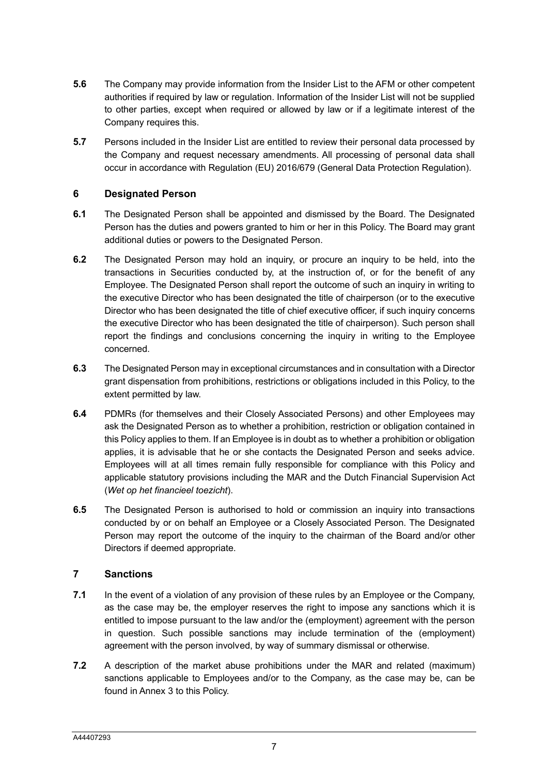- **5.6** The Company may provide information from the Insider List to the AFM or other competent authorities if required by law or regulation. Information of the Insider List will not be supplied to other parties, except when required or allowed by law or if a legitimate interest of the Company requires this.
- **5.7** Persons included in the Insider List are entitled to review their personal data processed by the Company and request necessary amendments. All processing of personal data shall occur in accordance with Regulation (EU) 2016/679 (General Data Protection Regulation).

#### **6 Designated Person**

- **6.1** The Designated Person shall be appointed and dismissed by the Board. The Designated Person has the duties and powers granted to him or her in this Policy. The Board may grant additional duties or powers to the Designated Person.
- **6.2** The Designated Person may hold an inquiry, or procure an inquiry to be held, into the transactions in Securities conducted by, at the instruction of, or for the benefit of any Employee. The Designated Person shall report the outcome of such an inquiry in writing to the executive Director who has been designated the title of chairperson (or to the executive Director who has been designated the title of chief executive officer, if such inquiry concerns the executive Director who has been designated the title of chairperson). Such person shall report the findings and conclusions concerning the inquiry in writing to the Employee concerned.
- **6.3** The Designated Person may in exceptional circumstances and in consultation with a Director grant dispensation from prohibitions, restrictions or obligations included in this Policy, to the extent permitted by law.
- **6.4** PDMRs (for themselves and their Closely Associated Persons) and other Employees may ask the Designated Person as to whether a prohibition, restriction or obligation contained in this Policy applies to them. If an Employee is in doubt as to whether a prohibition or obligation applies, it is advisable that he or she contacts the Designated Person and seeks advice. Employees will at all times remain fully responsible for compliance with this Policy and applicable statutory provisions including the MAR and the Dutch Financial Supervision Act (*Wet op het financieel toezicht*).
- **6.5** The Designated Person is authorised to hold or commission an inquiry into transactions conducted by or on behalf an Employee or a Closely Associated Person. The Designated Person may report the outcome of the inquiry to the chairman of the Board and/or other Directors if deemed appropriate.

# **7 Sanctions**

- **7.1** In the event of a violation of any provision of these rules by an Employee or the Company, as the case may be, the employer reserves the right to impose any sanctions which it is entitled to impose pursuant to the law and/or the (employment) agreement with the person in question. Such possible sanctions may include termination of the (employment) agreement with the person involved, by way of summary dismissal or otherwise.
- **7.2** A description of the market abuse prohibitions under the MAR and related (maximum) sanctions applicable to Employees and/or to the Company, as the case may be, can be found in Annex 3 to this Policy.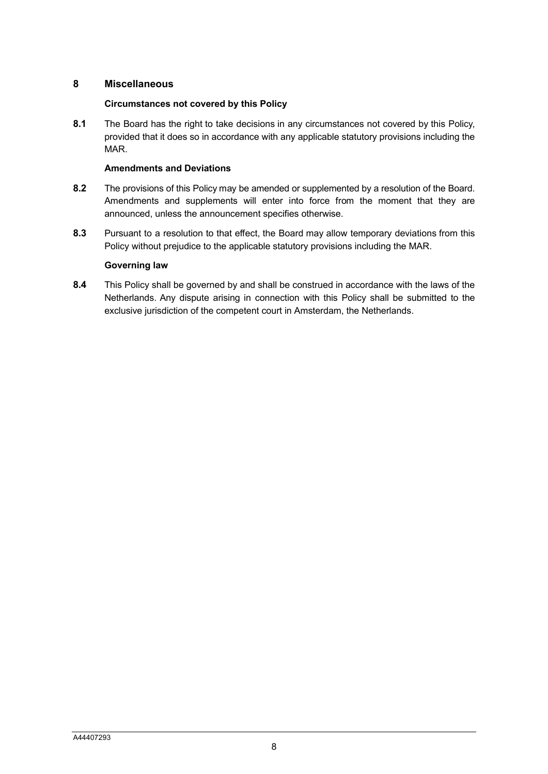## **8 Miscellaneous**

#### **Circumstances not covered by this Policy**

**8.1** The Board has the right to take decisions in any circumstances not covered by this Policy, provided that it does so in accordance with any applicable statutory provisions including the MAR.

#### **Amendments and Deviations**

- **8.2** The provisions of this Policy may be amended or supplemented by a resolution of the Board. Amendments and supplements will enter into force from the moment that they are announced, unless the announcement specifies otherwise.
- **8.3** Pursuant to a resolution to that effect, the Board may allow temporary deviations from this Policy without prejudice to the applicable statutory provisions including the MAR.

#### **Governing law**

**8.4** This Policy shall be governed by and shall be construed in accordance with the laws of the Netherlands. Any dispute arising in connection with this Policy shall be submitted to the exclusive jurisdiction of the competent court in Amsterdam, the Netherlands.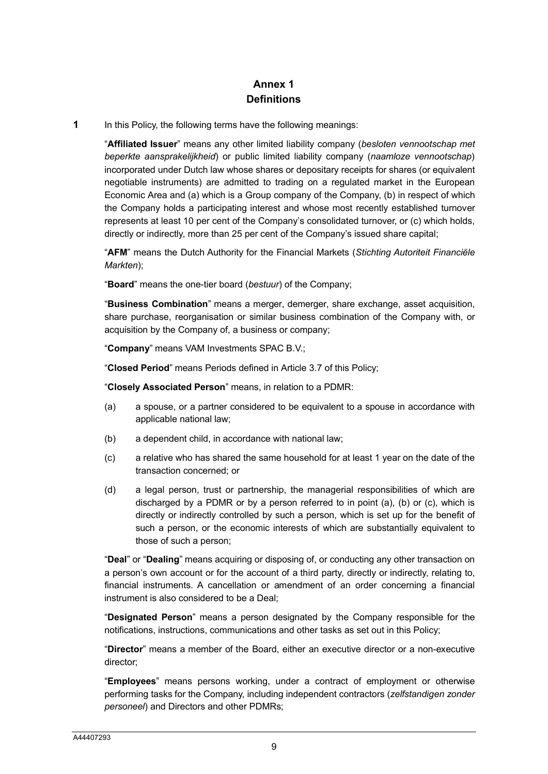# **Annex 1 Definitions**

**1** In this Policy, the following terms have the following meanings:

"**Affiliated Issuer**" means any other limited liability company (*besloten vennootschap met beperkte aansprakelijkheid*) or public limited liability company (*naamloze vennootschap*) incorporated under Dutch law whose shares or depositary receipts for shares (or equivalent negotiable instruments) are admitted to trading on a regulated market in the European Economic Area and (a) which is a Group company of the Company, (b) in respect of which the Company holds a participating interest and whose most recently established turnover represents at least 10 per cent of the Company's consolidated turnover, or (c) which holds, directly or indirectly, more than 25 per cent of the Company's issued share capital;

"**AFM**" means the Dutch Authority for the Financial Markets (*Stichting Autoriteit Financiële Markten*);

"**Board**" means the one-tier board (*bestuur*) of the Company;

"**Business Combination**" means a merger, demerger, share exchange, asset acquisition, share purchase, reorganisation or similar business combination of the Company with, or acquisition by the Company of, a business or company;

"**Company**" means VAM Investments SPAC B.V.;

"**Closed Period**" means Periods defined in Article 3.7 of this Policy;

"**Closely Associated Person**" means, in relation to a PDMR:

- (a) a spouse, or a partner considered to be equivalent to a spouse in accordance with applicable national law;
- (b) a dependent child, in accordance with national law;
- (c) a relative who has shared the same household for at least 1 year on the date of the transaction concerned; or
- (d) a legal person, trust or partnership, the managerial responsibilities of which are discharged by a PDMR or by a person referred to in point (a), (b) or (c), which is directly or indirectly controlled by such a person, which is set up for the benefit of such a person, or the economic interests of which are substantially equivalent to those of such a person;

"**Deal**" or "**Dealing**" means acquiring or disposing of, or conducting any other transaction on a person's own account or for the account of a third party, directly or indirectly, relating to, financial instruments. A cancellation or amendment of an order concerning a financial instrument is also considered to be a Deal;

"**Designated Person**" means a person designated by the Company responsible for the notifications, instructions, communications and other tasks as set out in this Policy;

"**Director**" means a member of the Board, either an executive director or a non-executive director;

"**Employees**" means persons working, under a contract of employment or otherwise performing tasks for the Company, including independent contractors (*zelfstandigen zonder personeel*) and Directors and other PDMRs;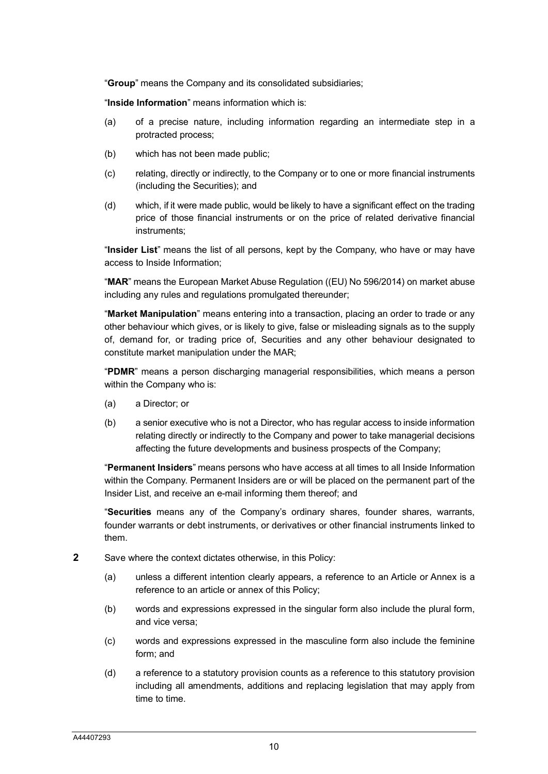"**Group**" means the Company and its consolidated subsidiaries;

"**Inside Information**" means information which is:

- (a) of a precise nature, including information regarding an intermediate step in a protracted process;
- (b) which has not been made public;
- (c) relating, directly or indirectly, to the Company or to one or more financial instruments (including the Securities); and
- (d) which, if it were made public, would be likely to have a significant effect on the trading price of those financial instruments or on the price of related derivative financial instruments;

"**Insider List**" means the list of all persons, kept by the Company, who have or may have access to Inside Information;

"**MAR**" means the European Market Abuse Regulation ((EU) No 596/2014) on market abuse including any rules and regulations promulgated thereunder;

"**Market Manipulation**" means entering into a transaction, placing an order to trade or any other behaviour which gives, or is likely to give, false or misleading signals as to the supply of, demand for, or trading price of, Securities and any other behaviour designated to constitute market manipulation under the MAR;

"**PDMR**" means a person discharging managerial responsibilities, which means a person within the Company who is:

- (a) a Director; or
- (b) a senior executive who is not a Director, who has regular access to inside information relating directly or indirectly to the Company and power to take managerial decisions affecting the future developments and business prospects of the Company;

"**Permanent Insiders**" means persons who have access at all times to all Inside Information within the Company. Permanent Insiders are or will be placed on the permanent part of the Insider List, and receive an e-mail informing them thereof; and

"**Securities** means any of the Company's ordinary shares, founder shares, warrants, founder warrants or debt instruments, or derivatives or other financial instruments linked to them.

- **2** Save where the context dictates otherwise, in this Policy:
	- (a) unless a different intention clearly appears, a reference to an Article or Annex is a reference to an article or annex of this Policy;
	- (b) words and expressions expressed in the singular form also include the plural form, and vice versa;
	- (c) words and expressions expressed in the masculine form also include the feminine form; and
	- (d) a reference to a statutory provision counts as a reference to this statutory provision including all amendments, additions and replacing legislation that may apply from time to time.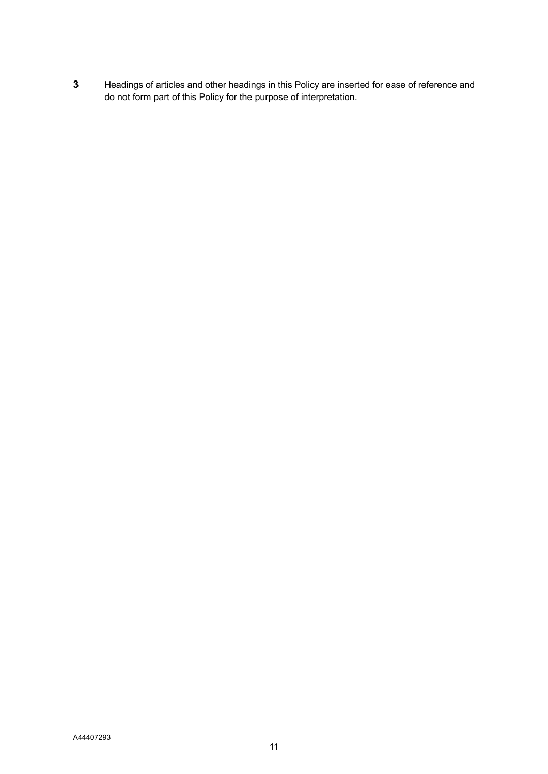**3** Headings of articles and other headings in this Policy are inserted for ease of reference and do not form part of this Policy for the purpose of interpretation.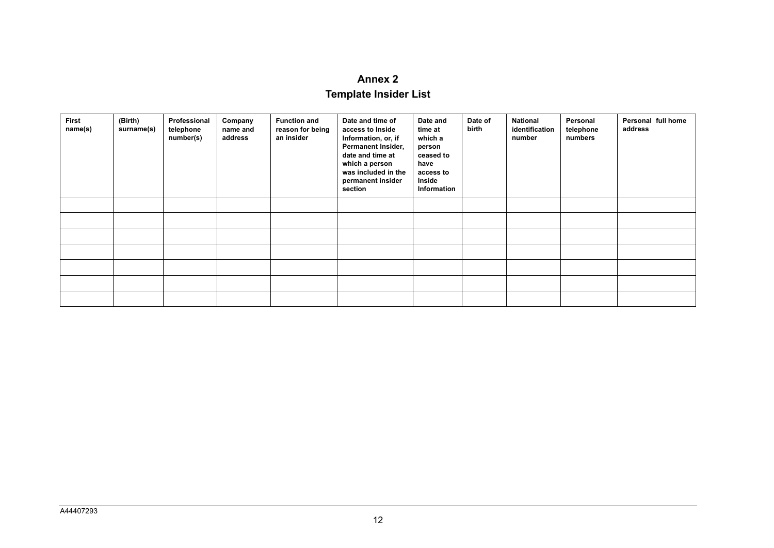# **Annex 2**

# **Template Insider List**

| First<br>name(s) | (Birth)<br>surname(s) | Professional<br>telephone<br>number(s) | Company<br>name and<br>address | <b>Function and</b><br>reason for being<br>an insider | Date and time of<br>access to Inside<br>Information, or, if<br>Permanent Insider,<br>date and time at<br>which a person<br>was included in the<br>permanent insider<br>section | Date and<br>time at<br>which a<br>person<br>ceased to<br>have<br>access to<br>Inside<br>Information | Date of<br>birth | <b>National</b><br>identification<br>number | Personal<br>telephone<br>numbers | Personal full home<br>address |
|------------------|-----------------------|----------------------------------------|--------------------------------|-------------------------------------------------------|--------------------------------------------------------------------------------------------------------------------------------------------------------------------------------|-----------------------------------------------------------------------------------------------------|------------------|---------------------------------------------|----------------------------------|-------------------------------|
|                  |                       |                                        |                                |                                                       |                                                                                                                                                                                |                                                                                                     |                  |                                             |                                  |                               |
|                  |                       |                                        |                                |                                                       |                                                                                                                                                                                |                                                                                                     |                  |                                             |                                  |                               |
|                  |                       |                                        |                                |                                                       |                                                                                                                                                                                |                                                                                                     |                  |                                             |                                  |                               |
|                  |                       |                                        |                                |                                                       |                                                                                                                                                                                |                                                                                                     |                  |                                             |                                  |                               |
|                  |                       |                                        |                                |                                                       |                                                                                                                                                                                |                                                                                                     |                  |                                             |                                  |                               |
|                  |                       |                                        |                                |                                                       |                                                                                                                                                                                |                                                                                                     |                  |                                             |                                  |                               |
|                  |                       |                                        |                                |                                                       |                                                                                                                                                                                |                                                                                                     |                  |                                             |                                  |                               |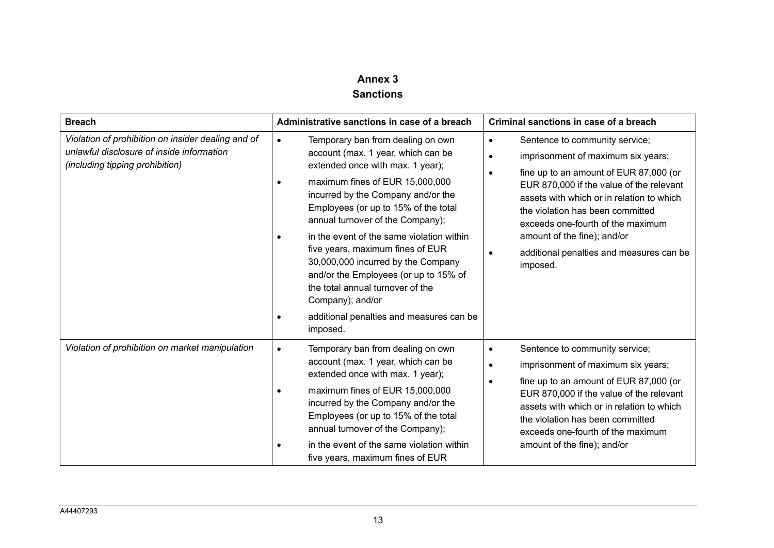# **Annex 3 Sanctions**

| <b>Breach</b>                                                                                                                      | Administrative sanctions in case of a breach                                                                                                                                                                                                                                                                                                                                                                                                                                                                                                                                                         | Criminal sanctions in case of a breach                                                                                                                                                                                                                                                                                                                                                                         |  |  |
|------------------------------------------------------------------------------------------------------------------------------------|------------------------------------------------------------------------------------------------------------------------------------------------------------------------------------------------------------------------------------------------------------------------------------------------------------------------------------------------------------------------------------------------------------------------------------------------------------------------------------------------------------------------------------------------------------------------------------------------------|----------------------------------------------------------------------------------------------------------------------------------------------------------------------------------------------------------------------------------------------------------------------------------------------------------------------------------------------------------------------------------------------------------------|--|--|
| Violation of prohibition on insider dealing and of<br>unlawful disclosure of inside information<br>(including tipping prohibition) | Temporary ban from dealing on own<br>$\bullet$<br>account (max. 1 year, which can be<br>extended once with max. 1 year);<br>maximum fines of EUR 15,000,000<br>$\bullet$<br>incurred by the Company and/or the<br>Employees (or up to 15% of the total<br>annual turnover of the Company);<br>in the event of the same violation within<br>$\bullet$<br>five years, maximum fines of EUR<br>30,000,000 incurred by the Company<br>and/or the Employees (or up to 15% of<br>the total annual turnover of the<br>Company); and/or<br>additional penalties and measures can be<br>$\bullet$<br>imposed. | Sentence to community service;<br>$\bullet$<br>imprisonment of maximum six years;<br>$\bullet$<br>fine up to an amount of EUR 87,000 (or<br>EUR 870,000 if the value of the relevant<br>assets with which or in relation to which<br>the violation has been committed<br>exceeds one-fourth of the maximum<br>amount of the fine); and/or<br>additional penalties and measures can be<br>$\bullet$<br>imposed. |  |  |
| Violation of prohibition on market manipulation                                                                                    | Temporary ban from dealing on own<br>$\bullet$<br>account (max. 1 year, which can be<br>extended once with max. 1 year);<br>maximum fines of EUR 15,000,000<br>$\bullet$<br>incurred by the Company and/or the<br>Employees (or up to 15% of the total<br>annual turnover of the Company);<br>in the event of the same violation within<br>five years, maximum fines of EUR                                                                                                                                                                                                                          | Sentence to community service;<br>$\bullet$<br>imprisonment of maximum six years;<br>fine up to an amount of EUR 87,000 (or<br>$\bullet$<br>EUR 870,000 if the value of the relevant<br>assets with which or in relation to which<br>the violation has been committed<br>exceeds one-fourth of the maximum<br>amount of the fine); and/or                                                                      |  |  |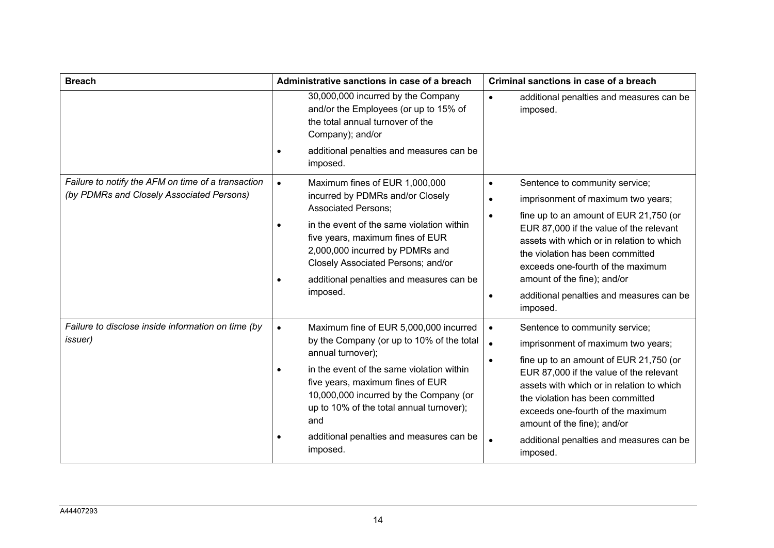| <b>Breach</b>                                                                                   | Administrative sanctions in case of a breach                                                                                                                                                                                                                                                                                                                | Criminal sanctions in case of a breach                                                                                                                                                                                                                                                                                                                                                                                     |  |  |
|-------------------------------------------------------------------------------------------------|-------------------------------------------------------------------------------------------------------------------------------------------------------------------------------------------------------------------------------------------------------------------------------------------------------------------------------------------------------------|----------------------------------------------------------------------------------------------------------------------------------------------------------------------------------------------------------------------------------------------------------------------------------------------------------------------------------------------------------------------------------------------------------------------------|--|--|
|                                                                                                 | 30,000,000 incurred by the Company<br>and/or the Employees (or up to 15% of<br>the total annual turnover of the<br>Company); and/or<br>additional penalties and measures can be<br>imposed.                                                                                                                                                                 | additional penalties and measures can be<br>$\bullet$<br>imposed.                                                                                                                                                                                                                                                                                                                                                          |  |  |
| Failure to notify the AFM on time of a transaction<br>(by PDMRs and Closely Associated Persons) | Maximum fines of EUR 1,000,000<br>$\bullet$<br>incurred by PDMRs and/or Closely<br><b>Associated Persons:</b><br>in the event of the same violation within<br>five years, maximum fines of EUR<br>2,000,000 incurred by PDMRs and<br>Closely Associated Persons; and/or<br>additional penalties and measures can be<br>imposed.                             | Sentence to community service;<br>$\bullet$<br>imprisonment of maximum two years;<br>$\bullet$<br>fine up to an amount of EUR 21,750 (or<br>$\bullet$<br>EUR 87,000 if the value of the relevant<br>assets with which or in relation to which<br>the violation has been committed<br>exceeds one-fourth of the maximum<br>amount of the fine); and/or<br>additional penalties and measures can be<br>$\bullet$<br>imposed. |  |  |
| Failure to disclose inside information on time (by<br><i>issuer</i> )                           | Maximum fine of EUR 5,000,000 incurred<br>$\bullet$<br>by the Company (or up to 10% of the total<br>annual turnover);<br>in the event of the same violation within<br>five years, maximum fines of EUR<br>10,000,000 incurred by the Company (or<br>up to 10% of the total annual turnover);<br>and<br>additional penalties and measures can be<br>imposed. | Sentence to community service;<br>$\bullet$<br>$\bullet$<br>imprisonment of maximum two years;<br>fine up to an amount of EUR 21,750 (or<br>$\bullet$<br>EUR 87,000 if the value of the relevant<br>assets with which or in relation to which<br>the violation has been committed<br>exceeds one-fourth of the maximum<br>amount of the fine); and/or<br>additional penalties and measures can be<br>$\bullet$<br>imposed. |  |  |